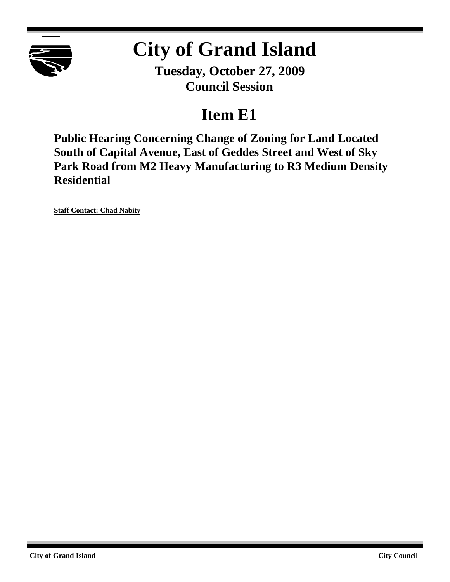

# **City of Grand Island**

**Tuesday, October 27, 2009 Council Session**

## **Item E1**

**Public Hearing Concerning Change of Zoning for Land Located South of Capital Avenue, East of Geddes Street and West of Sky Park Road from M2 Heavy Manufacturing to R3 Medium Density Residential**

**Staff Contact: Chad Nabity**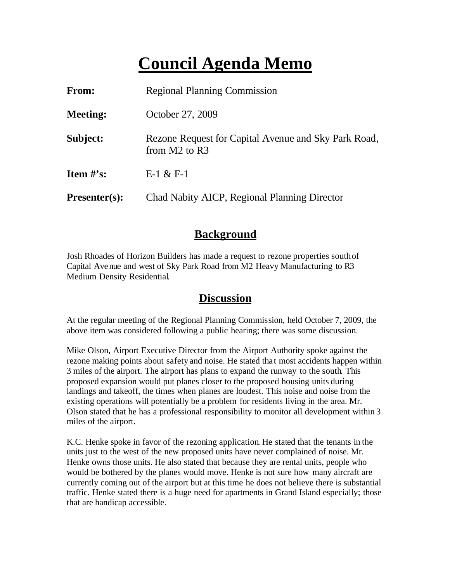## **Council Agenda Memo**

| <b>From:</b>    | <b>Regional Planning Commission</b>                                       |  |
|-----------------|---------------------------------------------------------------------------|--|
| <b>Meeting:</b> | October 27, 2009                                                          |  |
| Subject:        | Rezone Request for Capital Avenue and Sky Park Road,<br>from $M2$ to $R3$ |  |
| Item $\#$ 's:   | $E-1 & E-1$                                                               |  |
| $Presenter(s):$ | Chad Nabity AICP, Regional Planning Director                              |  |

## **Background**

Josh Rhoades of Horizon Builders has made a request to rezone properties south of Capital Avenue and west of Sky Park Road from M2 Heavy Manufacturing to R3 Medium Density Residential.

## **Discussion**

At the regular meeting of the Regional Planning Commission, held October 7, 2009, the above item was considered following a public hearing; there was some discussion.

Mike Olson, Airport Executive Director from the Airport Authority spoke against the rezone making points about safety and noise. He stated tha t most accidents happen within 3 miles of the airport. The airport has plans to expand the runway to the south. This proposed expansion would put planes closer to the proposed housing units during landings and takeoff, the times when planes are loudest. This noise and noise from the existing operations will potentially be a problem for residents living in the area. Mr. Olson stated that he has a professional responsibility to monitor all development within 3 miles of the airport.

K.C. Henke spoke in favor of the rezoning application. He stated that the tenants in the units just to the west of the new proposed units have never complained of noise. Mr. Henke owns those units. He also stated that because they are rental units, people who would be bothered by the planes would move. Henke is not sure how many aircraft are currently coming out of the airport but at this time he does not believe there is substantial traffic. Henke stated there is a huge need for apartments in Grand Island especially; those that are handicap accessible.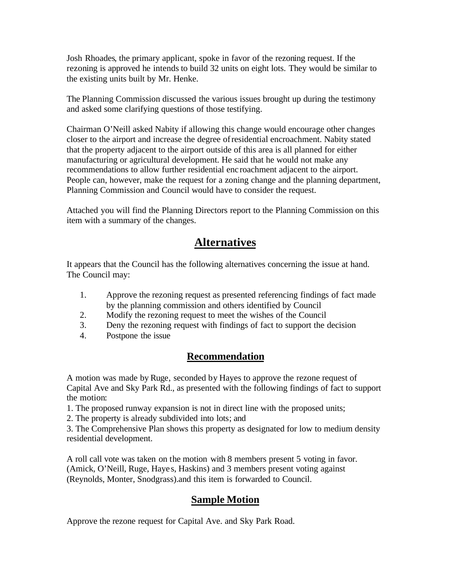Josh Rhoades, the primary applicant, spoke in favor of the rezoning request. If the rezoning is approved he intends to build 32 units on eight lots. They would be similar to the existing units built by Mr. Henke.

The Planning Commission discussed the various issues brought up during the testimony and asked some clarifying questions of those testifying.

Chairman O'Neill asked Nabity if allowing this change would encourage other changes closer to the airport and increase the degree of residential encroachment. Nabity stated that the property adjacent to the airport outside of this area is all planned for either manufacturing or agricultural development. He said that he would not make any recommendations to allow further residential enc roachment adjacent to the airport. People can, however, make the request for a zoning change and the planning department, Planning Commission and Council would have to consider the request.

Attached you will find the Planning Directors report to the Planning Commission on this item with a summary of the changes.

## **Alternatives**

It appears that the Council has the following alternatives concerning the issue at hand. The Council may:

- 1. Approve the rezoning request as presented referencing findings of fact made by the planning commission and others identified by Council
- 2. Modify the rezoning request to meet the wishes of the Council
- 3. Deny the rezoning request with findings of fact to support the decision
- 4. Postpone the issue

### **Recommendation**

A motion was made by Ruge, seconded by Hayes to approve the rezone request of Capital Ave and Sky Park Rd., as presented with the following findings of fact to support the motion:

1. The proposed runway expansion is not in direct line with the proposed units;

2. The property is already subdivided into lots; and

3. The Comprehensive Plan shows this property as designated for low to medium density residential development.

A roll call vote was taken on the motion with 8 members present 5 voting in favor. (Amick, O'Neill, Ruge, Haye s, Haskins) and 3 members present voting against (Reynolds, Monter, Snodgrass).and this item is forwarded to Council.

### **Sample Motion**

Approve the rezone request for Capital Ave. and Sky Park Road.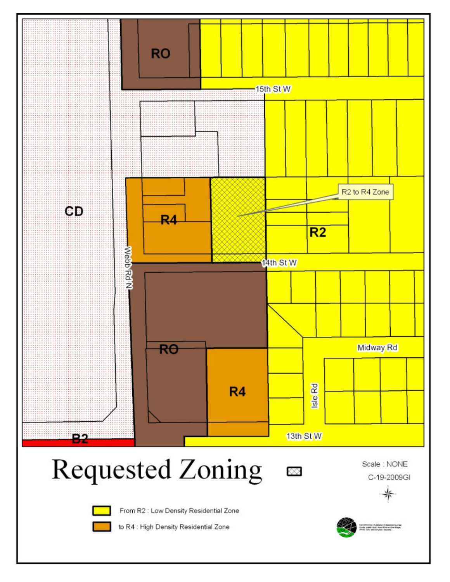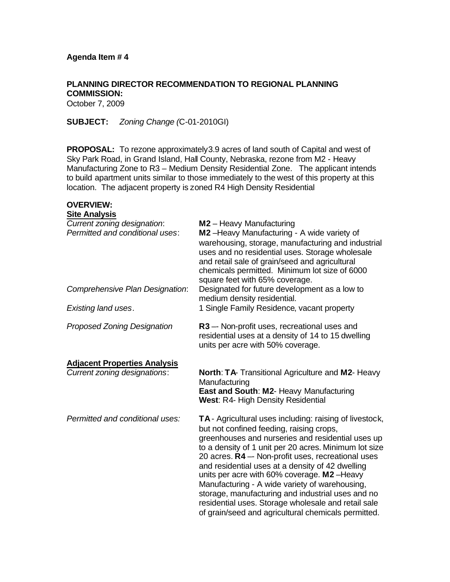## **PLANNING DIRECTOR RECOMMENDATION TO REGIONAL PLANNING COMMISSION:**

October 7, 2009

**SUBJECT:** *Zoning Change (*C-01-2010GI)

**PROPOSAL:** To rezone approximately3.9 acres of land south of Capital and west of Sky Park Road, in Grand Island, Hall County, Nebraska, rezone from M2 - Heavy Manufacturing Zone to R3 – Medium Density Residential Zone. The applicant intends to build apartment units similar to those immediately to the west of this property at this location. The adjacent property is zoned R4 High Density Residential

#### **OVERVIEW: Site Analysis**

| טונט רווטון                                                                |                                                                                                                                                                                                                                                                                                                                                                                                                                                                                                                                                                                               |
|----------------------------------------------------------------------------|-----------------------------------------------------------------------------------------------------------------------------------------------------------------------------------------------------------------------------------------------------------------------------------------------------------------------------------------------------------------------------------------------------------------------------------------------------------------------------------------------------------------------------------------------------------------------------------------------|
| Current zoning designation:<br>Permitted and conditional uses:             | $M2$ – Heavy Manufacturing<br>M2-Heavy Manufacturing - A wide variety of<br>warehousing, storage, manufacturing and industrial<br>uses and no residential uses. Storage wholesale<br>and retail sale of grain/seed and agricultural<br>chemicals permitted. Minimum lot size of 6000<br>square feet with 65% coverage.                                                                                                                                                                                                                                                                        |
| Comprehensive Plan Designation:                                            | Designated for future development as a low to<br>medium density residential.                                                                                                                                                                                                                                                                                                                                                                                                                                                                                                                  |
| Existing land uses.                                                        | 1 Single Family Residence, vacant property                                                                                                                                                                                                                                                                                                                                                                                                                                                                                                                                                    |
| <b>Proposed Zoning Designation</b>                                         | <b>R3</b> -- Non-profit uses, recreational uses and<br>residential uses at a density of 14 to 15 dwelling<br>units per acre with 50% coverage.                                                                                                                                                                                                                                                                                                                                                                                                                                                |
| <b>Adjacent Properties Analysis</b><br><b>Current zoning designations:</b> | <b>North: TA-</b> Transitional Agriculture and M2- Heavy<br>Manufacturing<br>East and South: M2- Heavy Manufacturing<br><b>West: R4- High Density Residential</b>                                                                                                                                                                                                                                                                                                                                                                                                                             |
| Permitted and conditional uses:                                            | TA - Agricultural uses including: raising of livestock,<br>but not confined feeding, raising crops,<br>greenhouses and nurseries and residential uses up<br>to a density of 1 unit per 20 acres. Minimum lot size<br>20 acres. R4 - Non-profit uses, recreational uses<br>and residential uses at a density of 42 dwelling<br>units per acre with 60% coverage. M2-Heavy<br>Manufacturing - A wide variety of warehousing,<br>storage, manufacturing and industrial uses and no<br>residential uses. Storage wholesale and retail sale<br>of grain/seed and agricultural chemicals permitted. |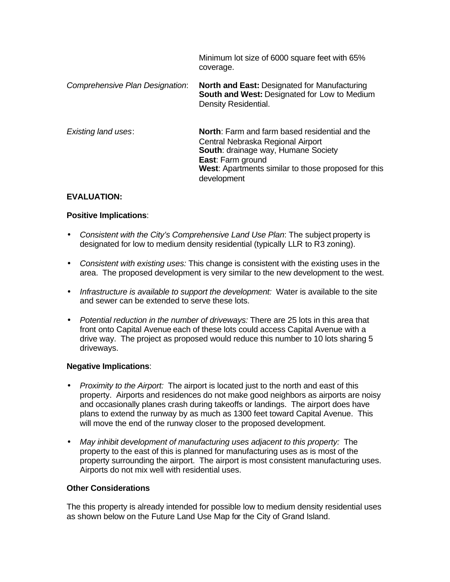|                                 | Minimum lot size of 6000 square feet with 65%<br>coverage.                                                                                                                                                                                 |
|---------------------------------|--------------------------------------------------------------------------------------------------------------------------------------------------------------------------------------------------------------------------------------------|
| Comprehensive Plan Designation: | <b>North and East: Designated for Manufacturing</b><br><b>South and West: Designated for Low to Medium</b><br>Density Residential.                                                                                                         |
| <b>Existing land uses:</b>      | <b>North:</b> Farm and farm based residential and the<br>Central Nebraska Regional Airport<br>South: drainage way, Humane Society<br><b>East: Farm ground</b><br><b>West:</b> Apartments similar to those proposed for this<br>development |

#### **EVALUATION:**

#### **Positive Implications**:

- *Consistent with the City's Comprehensive Land Use Plan*: The subject property is designated for low to medium density residential (typically LLR to R3 zoning).
- *Consistent with existing uses:* This change is consistent with the existing uses in the area. The proposed development is very similar to the new development to the west.
- *Infrastructure is available to support the development:* Water is available to the site and sewer can be extended to serve these lots.
- *Potential reduction in the number of driveways:* There are 25 lots in this area that front onto Capital Avenue each of these lots could access Capital Avenue with a drive way. The project as proposed would reduce this number to 10 lots sharing 5 driveways.

#### **Negative Implications**:

- *Proximity to the Airport:* The airport is located just to the north and east of this property. Airports and residences do not make good neighbors as airports are noisy and occasionally planes crash during takeoffs or landings. The airport does have plans to extend the runway by as much as 1300 feet toward Capital Avenue. This will move the end of the runway closer to the proposed development.
- *May inhibit development of manufacturing uses adjacent to this property:* The property to the east of this is planned for manufacturing uses as is most of the property surrounding the airport. The airport is most consistent manufacturing uses. Airports do not mix well with residential uses.

#### **Other Considerations**

The this property is already intended for possible low to medium density residential uses as shown below on the Future Land Use Map for the City of Grand Island.